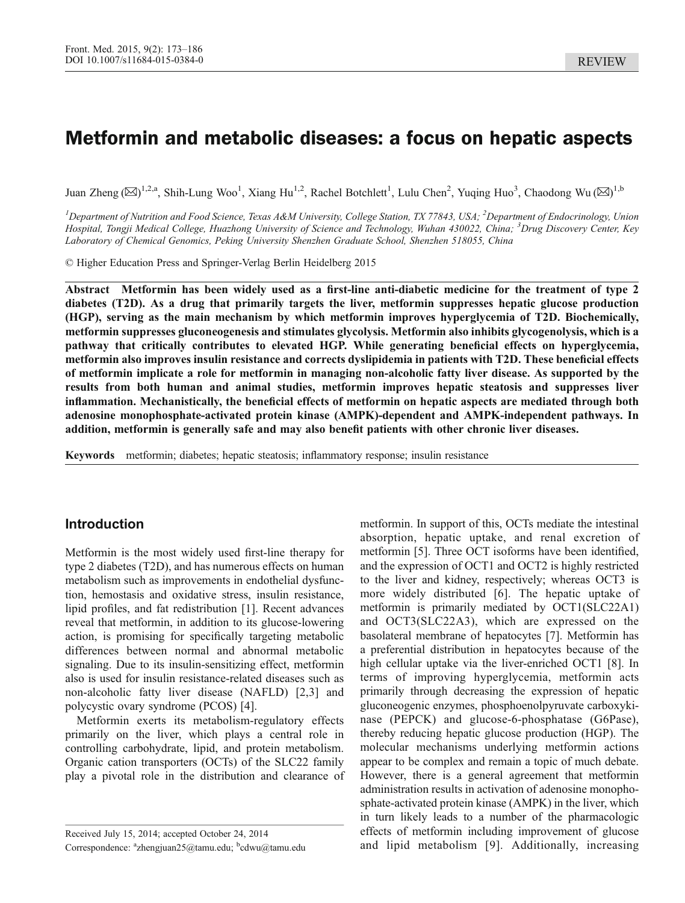# Metformin and metabolic diseases: a focus on hepatic aspects

Juan Zheng  $(\boxtimes)^{1,2,a}$ , Shih-Lung Woo<sup>1</sup>, Xiang Hu<sup>1,2</sup>, Rachel Botchlett<sup>1</sup>, Lulu Chen<sup>2</sup>, Yuqing Huo<sup>3</sup>, Chaodong Wu  $(\boxtimes)^{1,b}$ 

 $^I$ Department of Nutrition and Food Science, Texas A&M University, College Station, TX 77843, USA;  $^2$ Department of Endocrinology, Union Hospital, Tongji Medical College, Huazhong University of Science and Technology, Wuhan 430022, China; <sup>3</sup>Drug Discovery Center, Key Laboratory of Chemical Genomics, Peking University Shenzhen Graduate School, Shenzhen 518055, China

© Higher Education Press and Springer-Verlag Berlin Heidelberg 2015

Abstract Metformin has been widely used as a first-line anti-diabetic medicine for the treatment of type 2 diabetes (T2D). As a drug that primarily targets the liver, metformin suppresses hepatic glucose production (HGP), serving as the main mechanism by which metformin improves hyperglycemia of T2D. Biochemically, metformin suppresses gluconeogenesis and stimulates glycolysis. Metformin also inhibits glycogenolysis, which is a pathway that critically contributes to elevated HGP. While generating beneficial effects on hyperglycemia, metformin also improves insulin resistance and corrects dyslipidemia in patients with T2D. These beneficial effects of metformin implicate a role for metformin in managing non-alcoholic fatty liver disease. As supported by the results from both human and animal studies, metformin improves hepatic steatosis and suppresses liver inflammation. Mechanistically, the beneficial effects of metformin on hepatic aspects are mediated through both adenosine monophosphate-activated protein kinase (AMPK)-dependent and AMPK-independent pathways. In addition, metformin is generally safe and may also benefit patients with other chronic liver diseases.

Keywords metformin; diabetes; hepatic steatosis; inflammatory response; insulin resistance

# Introduction

Metformin is the most widely used first-line therapy for type 2 diabetes (T2D), and has numerous effects on human metabolism such as improvements in endothelial dysfunction, hemostasis and oxidative stress, insulin resistance, lipid profiles, and fat redistribution [\[1\]](#page-8-0). Recent advances reveal that metformin, in addition to its glucose-lowering action, is promising for specifically targeting metabolic differences between normal and abnormal metabolic signaling. Due to its insulin-sensitizing effect, metformin also is used for insulin resistance-related diseases such as non-alcoholic fatty liver disease (NAFLD) [[2,3\]](#page-8-0) and polycystic ovary syndrome (PCOS) [\[4\]](#page-8-0).

Metformin exerts its metabolism-regulatory effects primarily on the liver, which plays a central role in controlling carbohydrate, lipid, and protein metabolism. Organic cation transporters (OCTs) of the SLC22 family play a pivotal role in the distribution and clearance of

metformin. In support of this, OCTs mediate the intestinal absorption, hepatic uptake, and renal excretion of metformin [\[5\]](#page-8-0). Three OCT isoforms have been identified, and the expression of OCT1 and OCT2 is highly restricted to the liver and kidney, respectively; whereas OCT3 is more widely distributed [[6](#page-8-0)]. The hepatic uptake of metformin is primarily mediated by OCT1(SLC22A1) and OCT3(SLC22A3), which are expressed on the basolateral membrane of hepatocytes [\[7](#page-8-0)]. Metformin has a preferential distribution in hepatocytes because of the high cellular uptake via the liver-enriched OCT1 [[8\]](#page-8-0). In terms of improving hyperglycemia, metformin acts primarily through decreasing the expression of hepatic gluconeogenic enzymes, phosphoenolpyruvate carboxykinase (PEPCK) and glucose-6-phosphatase (G6Pase), thereby reducing hepatic glucose production (HGP). The molecular mechanisms underlying metformin actions appear to be complex and remain a topic of much debate. However, there is a general agreement that metformin administration results in activation of adenosine monophosphate-activated protein kinase (AMPK) in the liver, which in turn likely leads to a number of the pharmacologic effects of metformin including improvement of glucose and lipid metabolism [[9](#page-8-0)]. Additionally, increasing

Received July 15, 2014; accepted October 24, 2014 Correspondence: <sup>a</sup>zhengjuan25@tamu.edu; <sup>b</sup>cdwu@tamu.edu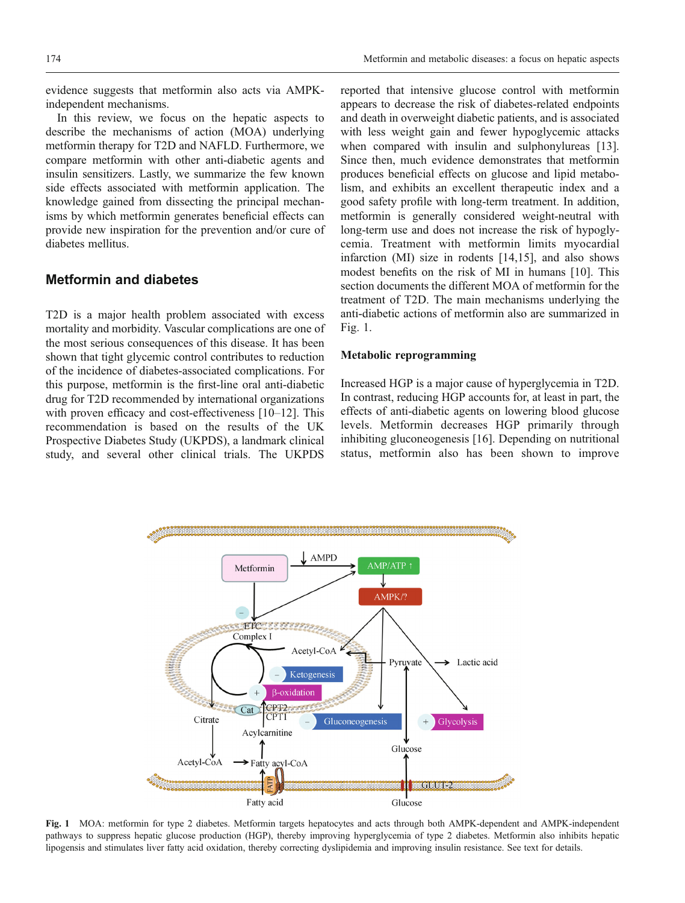evidence suggests that metformin also acts via AMPKindependent mechanisms.

In this review, we focus on the hepatic aspects to describe the mechanisms of action (MOA) underlying metformin therapy for T2D and NAFLD. Furthermore, we compare metformin with other anti-diabetic agents and insulin sensitizers. Lastly, we summarize the few known side effects associated with metformin application. The knowledge gained from dissecting the principal mechanisms by which metformin generates beneficial effects can provide new inspiration for the prevention and/or cure of diabetes mellitus.

# Metformin and diabetes

T2D is a major health problem associated with excess mortality and morbidity. Vascular complications are one of the most serious consequences of this disease. It has been shown that tight glycemic control contributes to reduction of the incidence of diabetes-associated complications. For this purpose, metformin is the first-line oral anti-diabetic drug for T2D recommended by international organizations with proven efficacy and cost-effectiveness [\[10](#page-8-0)–[12](#page-8-0)]. This recommendation is based on the results of the UK Prospective Diabetes Study (UKPDS), a landmark clinical study, and several other clinical trials. The UKPDS

reported that intensive glucose control with metformin appears to decrease the risk of diabetes-related endpoints and death in overweight diabetic patients, and is associated with less weight gain and fewer hypoglycemic attacks when compared with insulin and sulphonylureas [\[13\]](#page-8-0). Since then, much evidence demonstrates that metformin produces beneficial effects on glucose and lipid metabolism, and exhibits an excellent therapeutic index and a good safety profile with long-term treatment. In addition, metformin is generally considered weight-neutral with long-term use and does not increase the risk of hypoglycemia. Treatment with metformin limits myocardial infarction (MI) size in rodents [\[14,15\]](#page-8-0), and also shows modest benefits on the risk of MI in humans [[10](#page-8-0)]. This section documents the different MOA of metformin for the treatment of T2D. The main mechanisms underlying the anti-diabetic actions of metformin also are summarized in Fig. 1.

### Metabolic reprogramming

Increased HGP is a major cause of hyperglycemia in T2D. In contrast, reducing HGP accounts for, at least in part, the effects of anti-diabetic agents on lowering blood glucose levels. Metformin decreases HGP primarily through inhibiting gluconeogenesis [\[16\]](#page-8-0). Depending on nutritional status, metformin also has been shown to improve



Fig. 1 MOA: metformin for type 2 diabetes. Metformin targets hepatocytes and acts through both AMPK-dependent and AMPK-independent pathways to suppress hepatic glucose production (HGP), thereby improving hyperglycemia of type 2 diabetes. Metformin also inhibits hepatic lipogensis and stimulates liver fatty acid oxidation, thereby correcting dyslipidemia and improving insulin resistance. See text for details.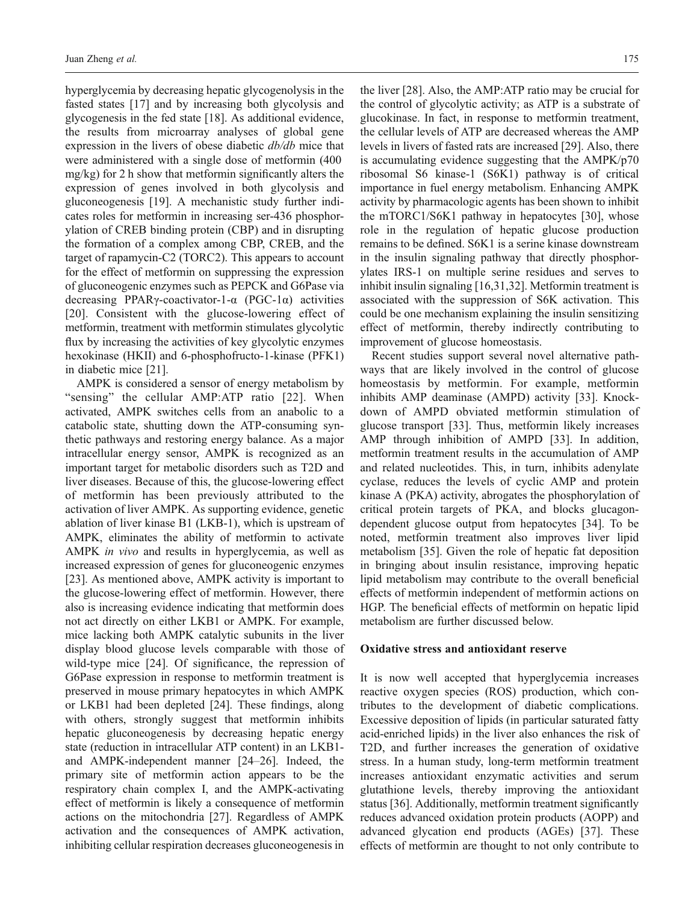hyperglycemia by decreasing hepatic glycogenolysis in the fasted states [\[17\]](#page-8-0) and by increasing both glycolysis and glycogenesis in the fed state [\[18\]](#page-9-0). As additional evidence, the results from microarray analyses of global gene expression in the livers of obese diabetic db/db mice that were administered with a single dose of metformin (400 mg/kg) for 2 h show that metformin significantly alters the expression of genes involved in both glycolysis and gluconeogenesis [\[19\]](#page-9-0). A mechanistic study further indicates roles for metformin in increasing ser-436 phosphorylation of CREB binding protein (CBP) and in disrupting the formation of a complex among CBP, CREB, and the target of rapamycin-C2 (TORC2). This appears to account for the effect of metformin on suppressing the expression of gluconeogenic enzymes such as PEPCK and G6Pase via decreasing PPARγ-coactivator-1-α (PGC-1α) activities [\[20\]](#page-9-0). Consistent with the glucose-lowering effect of metformin, treatment with metformin stimulates glycolytic flux by increasing the activities of key glycolytic enzymes hexokinase (HKII) and 6-phosphofructo-1-kinase (PFK1) in diabetic mice [\[21\]](#page-9-0).

AMPK is considered a sensor of energy metabolism by "sensing" the cellular AMP:ATP ratio [[22](#page-9-0)]. When activated, AMPK switches cells from an anabolic to a catabolic state, shutting down the ATP-consuming synthetic pathways and restoring energy balance. As a major intracellular energy sensor, AMPK is recognized as an important target for metabolic disorders such as T2D and liver diseases. Because of this, the glucose-lowering effect of metformin has been previously attributed to the activation of liver AMPK. As supporting evidence, genetic ablation of liver kinase B1 (LKB-1), which is upstream of AMPK, eliminates the ability of metformin to activate AMPK in vivo and results in hyperglycemia, as well as increased expression of genes for gluconeogenic enzymes [\[23\]](#page-9-0). As mentioned above, AMPK activity is important to the glucose-lowering effect of metformin. However, there also is increasing evidence indicating that metformin does not act directly on either LKB1 or AMPK. For example, mice lacking both AMPK catalytic subunits in the liver display blood glucose levels comparable with those of wild-type mice [\[24\]](#page-9-0). Of significance, the repression of G6Pase expression in response to metformin treatment is preserved in mouse primary hepatocytes in which AMPK or LKB1 had been depleted [[24](#page-9-0)]. These findings, along with others, strongly suggest that metformin inhibits hepatic gluconeogenesis by decreasing hepatic energy state (reduction in intracellular ATP content) in an LKB1 and AMPK-independent manner [\[24](#page-9-0)–[26](#page-9-0)]. Indeed, the primary site of metformin action appears to be the respiratory chain complex I, and the AMPK-activating effect of metformin is likely a consequence of metformin actions on the mitochondria [\[27\]](#page-9-0). Regardless of AMPK activation and the consequences of AMPK activation, inhibiting cellular respiration decreases gluconeogenesis in

the liver [\[28\]](#page-9-0). Also, the AMP:ATP ratio may be crucial for the control of glycolytic activity; as ATP is a substrate of glucokinase. In fact, in response to metformin treatment, the cellular levels of ATP are decreased whereas the AMP levels in livers of fasted rats are increased [\[29\]](#page-9-0). Also, there is accumulating evidence suggesting that the AMPK/p70 ribosomal S6 kinase-1 (S6K1) pathway is of critical importance in fuel energy metabolism. Enhancing AMPK activity by pharmacologic agents has been shown to inhibit the mTORC1/S6K1 pathway in hepatocytes [[30](#page-9-0)], whose role in the regulation of hepatic glucose production remains to be defined. S6K1 is a serine kinase downstream in the insulin signaling pathway that directly phosphorylates IRS-1 on multiple serine residues and serves to inhibit insulin signaling [\[16,](#page-8-0)[31,32\]](#page-9-0). Metformin treatment is associated with the suppression of S6K activation. This could be one mechanism explaining the insulin sensitizing effect of metformin, thereby indirectly contributing to improvement of glucose homeostasis.

Recent studies support several novel alternative pathways that are likely involved in the control of glucose homeostasis by metformin. For example, metformin inhibits AMP deaminase (AMPD) activity [[33](#page-9-0)]. Knockdown of AMPD obviated metformin stimulation of glucose transport [[33](#page-9-0)]. Thus, metformin likely increases AMP through inhibition of AMPD [[33](#page-9-0)]. In addition, metformin treatment results in the accumulation of AMP and related nucleotides. This, in turn, inhibits adenylate cyclase, reduces the levels of cyclic AMP and protein kinase A (PKA) activity, abrogates the phosphorylation of critical protein targets of PKA, and blocks glucagondependent glucose output from hepatocytes [\[34\]](#page-9-0). To be noted, metformin treatment also improves liver lipid metabolism [\[35\]](#page-9-0). Given the role of hepatic fat deposition in bringing about insulin resistance, improving hepatic lipid metabolism may contribute to the overall beneficial effects of metformin independent of metformin actions on HGP. The beneficial effects of metformin on hepatic lipid metabolism are further discussed below.

#### Oxidative stress and antioxidant reserve

It is now well accepted that hyperglycemia increases reactive oxygen species (ROS) production, which contributes to the development of diabetic complications. Excessive deposition of lipids (in particular saturated fatty acid-enriched lipids) in the liver also enhances the risk of T2D, and further increases the generation of oxidative stress. In a human study, long-term metformin treatment increases antioxidant enzymatic activities and serum glutathione levels, thereby improving the antioxidant status [\[36\]](#page-9-0). Additionally, metformin treatment significantly reduces advanced oxidation protein products (AOPP) and advanced glycation end products (AGEs) [\[37\]](#page-9-0). These effects of metformin are thought to not only contribute to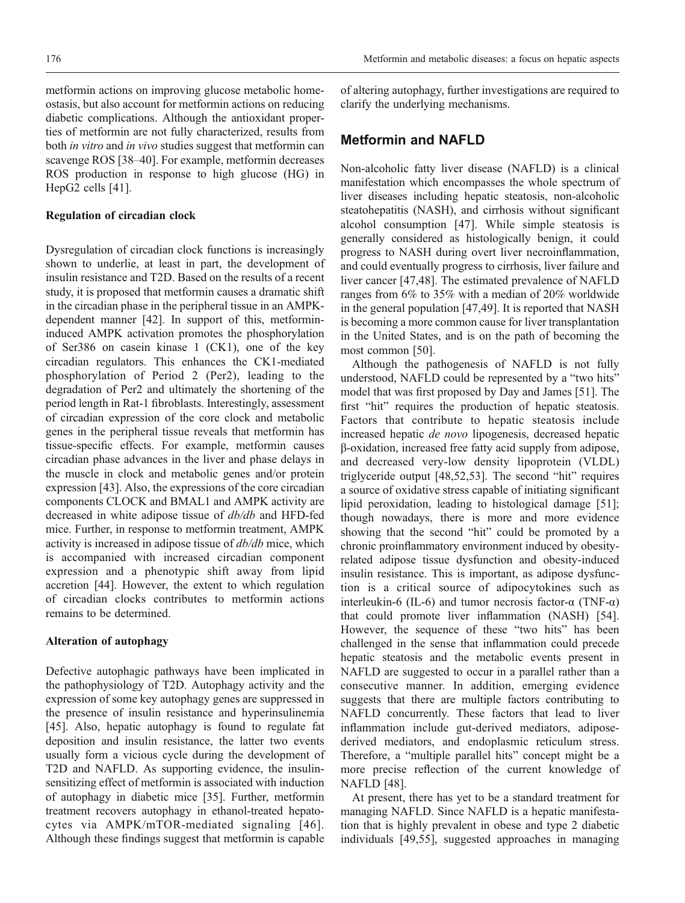diabetic complications. Although the antioxidant properties of metformin are not fully characterized, results from both *in vitro* and *in vivo* studies suggest that metformin can scavenge ROS [[38](#page-9-0)–[40\]](#page-9-0). For example, metformin decreases ROS production in response to high glucose (HG) in HepG2 cells [\[41\]](#page-9-0).

### Regulation of circadian clock

Dysregulation of circadian clock functions is increasingly shown to underlie, at least in part, the development of insulin resistance and T2D. Based on the results of a recent study, it is proposed that metformin causes a dramatic shift in the circadian phase in the peripheral tissue in an AMPKdependent manner [\[42\]](#page-9-0). In support of this, metformininduced AMPK activation promotes the phosphorylation of Ser386 on casein kinase 1 (CK1), one of the key circadian regulators. This enhances the CK1-mediated phosphorylation of Period 2 (Per2), leading to the degradation of Per2 and ultimately the shortening of the period length in Rat-1 fibroblasts. Interestingly, assessment of circadian expression of the core clock and metabolic genes in the peripheral tissue reveals that metformin has tissue-specific effects. For example, metformin causes circadian phase advances in the liver and phase delays in the muscle in clock and metabolic genes and/or protein expression [[43](#page-9-0)]. Also, the expressions of the core circadian components CLOCK and BMAL1 and AMPK activity are decreased in white adipose tissue of db/db and HFD-fed mice. Further, in response to metformin treatment, AMPK activity is increased in adipose tissue of db/db mice, which is accompanied with increased circadian component expression and a phenotypic shift away from lipid accretion [\[44\]](#page-9-0). However, the extent to which regulation of circadian clocks contributes to metformin actions remains to be determined.

### Alteration of autophagy

Defective autophagic pathways have been implicated in the pathophysiology of T2D. Autophagy activity and the expression of some key autophagy genes are suppressed in the presence of insulin resistance and hyperinsulinemia [\[45\]](#page-10-0). Also, hepatic autophagy is found to regulate fat deposition and insulin resistance, the latter two events usually form a vicious cycle during the development of T2D and NAFLD. As supporting evidence, the insulinsensitizing effect of metformin is associated with induction of autophagy in diabetic mice [[35](#page-9-0)]. Further, metformin treatment recovers autophagy in ethanol-treated hepatocytes via AMPK/mTOR-mediated signaling [[46\]](#page-10-0). Although these findings suggest that metformin is capable of altering autophagy, further investigations are required to clarify the underlying mechanisms.

# Metformin and NAFLD

Non-alcoholic fatty liver disease (NAFLD) is a clinical manifestation which encompasses the whole spectrum of liver diseases including hepatic steatosis, non-alcoholic steatohepatitis (NASH), and cirrhosis without significant alcohol consumption [[47](#page-10-0)]. While simple steatosis is generally considered as histologically benign, it could progress to NASH during overt liver necroinflammation, and could eventually progress to cirrhosis, liver failure and liver cancer [\[47,48\]](#page-10-0). The estimated prevalence of NAFLD ranges from 6% to 35% with a median of 20% worldwide in the general population [\[47,49\]](#page-10-0). It is reported that NASH is becoming a more common cause for liver transplantation in the United States, and is on the path of becoming the most common [\[50\]](#page-10-0).

Although the pathogenesis of NAFLD is not fully understood, NAFLD could be represented by a "two hits" model that was first proposed by Day and James [\[51\]](#page-10-0). The first "hit" requires the production of hepatic steatosis. Factors that contribute to hepatic steatosis include increased hepatic de novo lipogenesis, decreased hepatic β-oxidation, increased free fatty acid supply from adipose, and decreased very-low density lipoprotein (VLDL) triglyceride output [[48](#page-10-0),[52](#page-10-0),[53](#page-10-0)]. The second "hit" requires a source of oxidative stress capable of initiating significant lipid peroxidation, leading to histological damage [[51](#page-10-0)]; though nowadays, there is more and more evidence showing that the second "hit" could be promoted by a chronic proinflammatory environment induced by obesityrelated adipose tissue dysfunction and obesity-induced insulin resistance. This is important, as adipose dysfunction is a critical source of adipocytokines such as interleukin-6 (IL-6) and tumor necrosis factor-α (TNF-α) that could promote liver inflammation (NASH) [\[54\]](#page-10-0). However, the sequence of these "two hits" has been challenged in the sense that inflammation could precede hepatic steatosis and the metabolic events present in NAFLD are suggested to occur in a parallel rather than a consecutive manner. In addition, emerging evidence suggests that there are multiple factors contributing to NAFLD concurrently. These factors that lead to liver inflammation include gut-derived mediators, adiposederived mediators, and endoplasmic reticulum stress. Therefore, a "multiple parallel hits" concept might be a more precise reflection of the current knowledge of NAFLD [\[48\]](#page-10-0).

At present, there has yet to be a standard treatment for managing NAFLD. Since NAFLD is a hepatic manifestation that is highly prevalent in obese and type 2 diabetic individuals [\[49,55\]](#page-10-0), suggested approaches in managing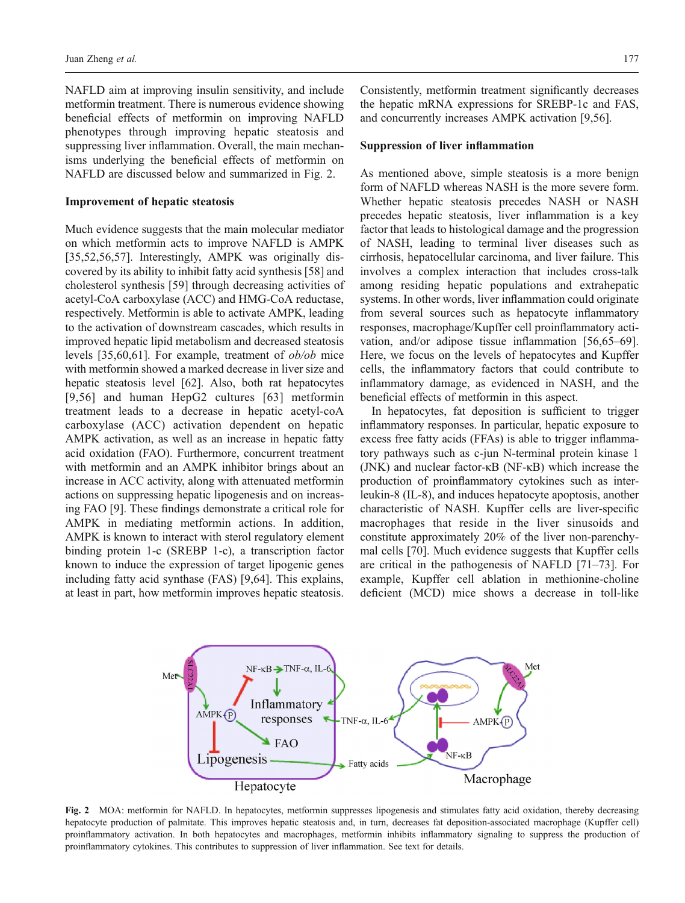NAFLD aim at improving insulin sensitivity, and include metformin treatment. There is numerous evidence showing beneficial effects of metformin on improving NAFLD phenotypes through improving hepatic steatosis and suppressing liver inflammation. Overall, the main mechanisms underlying the beneficial effects of metformin on NAFLD are discussed below and summarized in Fig. 2.

#### Improvement of hepatic steatosis

Much evidence suggests that the main molecular mediator on which metformin acts to improve NAFLD is AMPK [\[35,](#page-9-0)[52,56,57\]](#page-10-0). Interestingly, AMPK was originally discovered by its ability to inhibit fatty acid synthesis [\[58](#page-10-0)] and cholesterol synthesis [[59](#page-10-0)] through decreasing activities of acetyl-CoA carboxylase (ACC) and HMG-CoA reductase, respectively. Metformin is able to activate AMPK, leading to the activation of downstream cascades, which results in improved hepatic lipid metabolism and decreased steatosis levels [\[35](#page-9-0)[,60,61\]](#page-10-0). For example, treatment of ob/ob mice with metformin showed a marked decrease in liver size and hepatic steatosis level [[62](#page-10-0)]. Also, both rat hepatocytes [\[9,](#page-8-0)[56\]](#page-10-0) and human HepG2 cultures [[63](#page-10-0)] metformin treatment leads to a decrease in hepatic acetyl-coA carboxylase (ACC) activation dependent on hepatic AMPK activation, as well as an increase in hepatic fatty acid oxidation (FAO). Furthermore, concurrent treatment with metformin and an AMPK inhibitor brings about an increase in ACC activity, along with attenuated metformin actions on suppressing hepatic lipogenesis and on increasing FAO [[9](#page-8-0)]. These findings demonstrate a critical role for AMPK in mediating metformin actions. In addition, AMPK is known to interact with sterol regulatory element binding protein 1-c (SREBP 1-c), a transcription factor known to induce the expression of target lipogenic genes including fatty acid synthase (FAS) [[9](#page-8-0)[,64\]](#page-10-0). This explains, at least in part, how metformin improves hepatic steatosis.

Consistently, metformin treatment significantly decreases the hepatic mRNA expressions for SREBP-1c and FAS, and concurrently increases AMPK activation [\[9](#page-8-0),[56](#page-10-0)].

#### Suppression of liver inflammation

As mentioned above, simple steatosis is a more benign form of NAFLD whereas NASH is the more severe form. Whether hepatic steatosis precedes NASH or NASH precedes hepatic steatosis, liver inflammation is a key factor that leads to histological damage and the progression of NASH, leading to terminal liver diseases such as cirrhosis, hepatocellular carcinoma, and liver failure. This involves a complex interaction that includes cross-talk among residing hepatic populations and extrahepatic systems. In other words, liver inflammation could originate from several sources such as hepatocyte inflammatory responses, macrophage/Kupffer cell proinflammatory activation, and/or adipose tissue inflammation [\[56,65](#page-10-0)–[69\]](#page-10-0). Here, we focus on the levels of hepatocytes and Kupffer cells, the inflammatory factors that could contribute to inflammatory damage, as evidenced in NASH, and the beneficial effects of metformin in this aspect.

In hepatocytes, fat deposition is sufficient to trigger inflammatory responses. In particular, hepatic exposure to excess free fatty acids (FFAs) is able to trigger inflammatory pathways such as c-jun N-terminal protein kinase 1 (JNK) and nuclear factor-κB (NF-κB) which increase the production of proinflammatory cytokines such as interleukin-8 (IL-8), and induces hepatocyte apoptosis, another characteristic of NASH. Kupffer cells are liver-specific macrophages that reside in the liver sinusoids and constitute approximately 20% of the liver non-parenchymal cells [\[70\]](#page-10-0). Much evidence suggests that Kupffer cells are critical in the pathogenesis of NAFLD [[71](#page-10-0)–[73\]](#page-10-0). For example, Kupffer cell ablation in methionine-choline deficient (MCD) mice shows a decrease in toll-like



Fig. 2 MOA: metformin for NAFLD. In hepatocytes, metformin suppresses lipogenesis and stimulates fatty acid oxidation, thereby decreasing hepatocyte production of palmitate. This improves hepatic steatosis and, in turn, decreases fat deposition-associated macrophage (Kupffer cell) proinflammatory activation. In both hepatocytes and macrophages, metformin inhibits inflammatory signaling to suppress the production of proinflammatory cytokines. This contributes to suppression of liver inflammation. See text for details.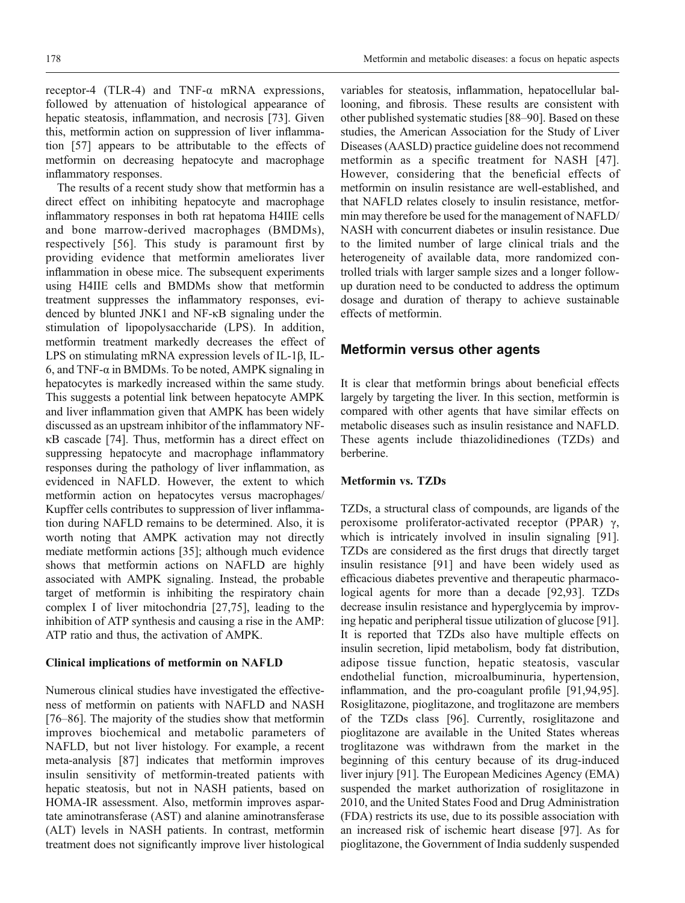receptor-4 (TLR-4) and TNF-α mRNA expressions, followed by attenuation of histological appearance of hepatic steatosis, inflammation, and necrosis [\[73\]](#page-10-0). Given this, metformin action on suppression of liver inflammation [\[57\]](#page-10-0) appears to be attributable to the effects of metformin on decreasing hepatocyte and macrophage inflammatory responses.

The results of a recent study show that metformin has a direct effect on inhibiting hepatocyte and macrophage inflammatory responses in both rat hepatoma H4IIE cells and bone marrow-derived macrophages (BMDMs), respectively [[56\]](#page-10-0). This study is paramount first by providing evidence that metformin ameliorates liver inflammation in obese mice. The subsequent experiments using H4IIE cells and BMDMs show that metformin treatment suppresses the inflammatory responses, evidenced by blunted JNK1 and NF-κB signaling under the stimulation of lipopolysaccharide (LPS). In addition, metformin treatment markedly decreases the effect of LPS on stimulating mRNA expression levels of IL-1β, IL-6, and TNF-α in BMDMs. To be noted, AMPK signaling in hepatocytes is markedly increased within the same study. This suggests a potential link between hepatocyte AMPK and liver inflammation given that AMPK has been widely discussed as an upstream inhibitor of the inflammatory NFκB cascade [\[74\]](#page-11-0). Thus, metformin has a direct effect on suppressing hepatocyte and macrophage inflammatory responses during the pathology of liver inflammation, as evidenced in NAFLD. However, the extent to which metformin action on hepatocytes versus macrophages/ Kupffer cells contributes to suppression of liver inflammation during NAFLD remains to be determined. Also, it is worth noting that AMPK activation may not directly mediate metformin actions [[35](#page-9-0)]; although much evidence shows that metformin actions on NAFLD are highly associated with AMPK signaling. Instead, the probable target of metformin is inhibiting the respiratory chain complex I of liver mitochondria [[27](#page-9-0),[75](#page-11-0)], leading to the inhibition of ATP synthesis and causing a rise in the AMP: ATP ratio and thus, the activation of AMPK.

#### Clinical implications of metformin on NAFLD

Numerous clinical studies have investigated the effectiveness of metformin on patients with NAFLD and NASH [\[76](#page-11-0)–[86](#page-11-0)]. The majority of the studies show that metformin improves biochemical and metabolic parameters of NAFLD, but not liver histology. For example, a recent meta-analysis [[87](#page-11-0)] indicates that metformin improves insulin sensitivity of metformin-treated patients with hepatic steatosis, but not in NASH patients, based on HOMA-IR assessment. Also, metformin improves aspartate aminotransferase (AST) and alanine aminotransferase (ALT) levels in NASH patients. In contrast, metformin treatment does not significantly improve liver histological

variables for steatosis, inflammation, hepatocellular ballooning, and fibrosis. These results are consistent with other published systematic studies [[88](#page-11-0)–[90\]](#page-11-0). Based on these studies, the American Association for the Study of Liver Diseases (AASLD) practice guideline does not recommend metformin as a specific treatment for NASH [[47](#page-10-0)]. However, considering that the beneficial effects of metformin on insulin resistance are well-established, and that NAFLD relates closely to insulin resistance, metformin may therefore be used for the management of NAFLD/ NASH with concurrent diabetes or insulin resistance. Due to the limited number of large clinical trials and the heterogeneity of available data, more randomized controlled trials with larger sample sizes and a longer followup duration need to be conducted to address the optimum dosage and duration of therapy to achieve sustainable effects of metformin.

# Metformin versus other agents

It is clear that metformin brings about beneficial effects largely by targeting the liver. In this section, metformin is compared with other agents that have similar effects on metabolic diseases such as insulin resistance and NAFLD. These agents include thiazolidinediones (TZDs) and berberine.

#### Metformin vs. TZDs

TZDs, a structural class of compounds, are ligands of the peroxisome proliferator-activated receptor (PPAR) γ, which is intricately involved in insulin signaling [\[91\]](#page-11-0). TZDs are considered as the first drugs that directly target insulin resistance [[91](#page-11-0)] and have been widely used as efficacious diabetes preventive and therapeutic pharmacological agents for more than a decade [\[92,93\]](#page-11-0). TZDs decrease insulin resistance and hyperglycemia by improving hepatic and peripheral tissue utilization of glucose [\[91\]](#page-11-0). It is reported that TZDs also have multiple effects on insulin secretion, lipid metabolism, body fat distribution, adipose tissue function, hepatic steatosis, vascular endothelial function, microalbuminuria, hypertension, inflammation, and the pro-coagulant profile [\[91,94,95\]](#page-11-0). Rosiglitazone, pioglitazone, and troglitazone are members of the TZDs class [[96](#page-11-0)]. Currently, rosiglitazone and pioglitazone are available in the United States whereas troglitazone was withdrawn from the market in the beginning of this century because of its drug-induced liver injury [\[91\]](#page-11-0). The European Medicines Agency (EMA) suspended the market authorization of rosiglitazone in 2010, and the United States Food and Drug Administration (FDA) restricts its use, due to its possible association with an increased risk of ischemic heart disease [[97](#page-11-0)]. As for pioglitazone, the Government of India suddenly suspended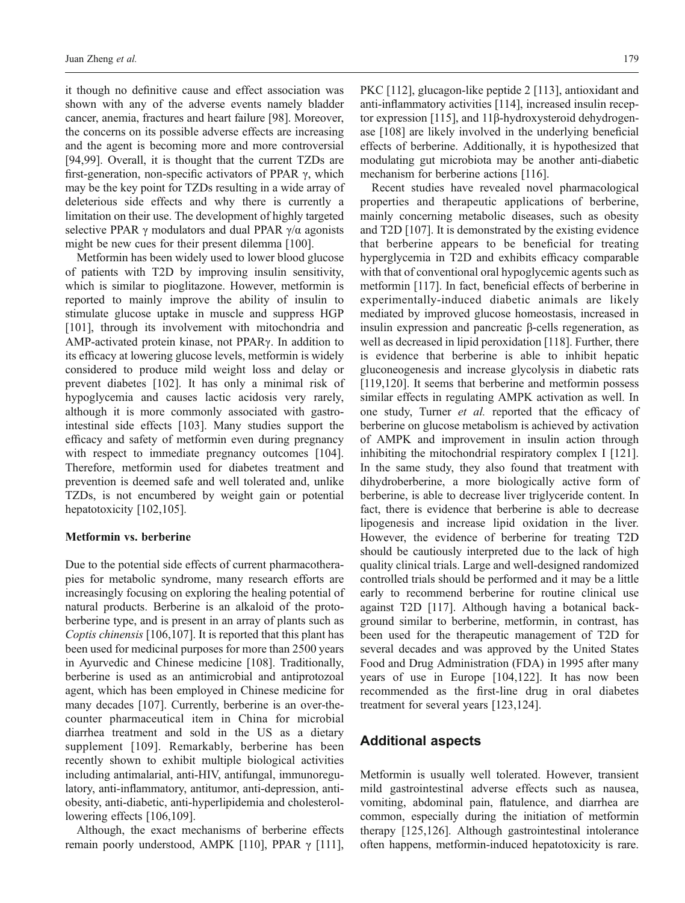it though no definitive cause and effect association was shown with any of the adverse events namely bladder cancer, anemia, fractures and heart failure [[98](#page-11-0)]. Moreover, the concerns on its possible adverse effects are increasing and the agent is becoming more and more controversial [\[94,99\]](#page-11-0). Overall, it is thought that the current TZDs are first-generation, non-specific activators of PPAR γ, which may be the key point for TZDs resulting in a wide array of deleterious side effects and why there is currently a limitation on their use. The development of highly targeted selective PPAR  $\gamma$  modulators and dual PPAR  $\gamma/\alpha$  agonists might be new cues for their present dilemma [[100](#page-11-0)].

Metformin has been widely used to lower blood glucose of patients with T2D by improving insulin sensitivity, which is similar to pioglitazone. However, metformin is reported to mainly improve the ability of insulin to stimulate glucose uptake in muscle and suppress HGP [\[101\]](#page-11-0), through its involvement with mitochondria and AMP-activated protein kinase, not PPARγ. In addition to its efficacy at lowering glucose levels, metformin is widely considered to produce mild weight loss and delay or prevent diabetes [\[102\]](#page-11-0). It has only a minimal risk of hypoglycemia and causes lactic acidosis very rarely, although it is more commonly associated with gastrointestinal side effects [\[103](#page-11-0)]. Many studies support the efficacy and safety of metformin even during pregnancy with respect to immediate pregnancy outcomes [\[104](#page-11-0)]. Therefore, metformin used for diabetes treatment and prevention is deemed safe and well tolerated and, unlike TZDs, is not encumbered by weight gain or potential hepatotoxicity [\[102](#page-11-0),[105](#page-11-0)].

### Metformin vs. berberine

Due to the potential side effects of current pharmacotherapies for metabolic syndrome, many research efforts are increasingly focusing on exploring the healing potential of natural products. Berberine is an alkaloid of the protoberberine type, and is present in an array of plants such as Coptis chinensis [\[106](#page-12-0),[107](#page-12-0)]. It is reported that this plant has been used for medicinal purposes for more than 2500 years in Ayurvedic and Chinese medicine [[108](#page-12-0)]. Traditionally, berberine is used as an antimicrobial and antiprotozoal agent, which has been employed in Chinese medicine for many decades [[107](#page-12-0)]. Currently, berberine is an over-thecounter pharmaceutical item in China for microbial diarrhea treatment and sold in the US as a dietary supplement [\[109\]](#page-12-0). Remarkably, berberine has been recently shown to exhibit multiple biological activities including antimalarial, anti-HIV, antifungal, immunoregulatory, anti-inflammatory, antitumor, anti-depression, antiobesity, anti-diabetic, anti-hyperlipidemia and cholesterol-lowering effects [\[106](#page-12-0),[109](#page-12-0)].

Although, the exact mechanisms of berberine effects remain poorly understood, AMPK [\[110\]](#page-12-0), PPAR γ [\[111](#page-12-0)],

PKC [\[112\]](#page-12-0), glucagon-like peptide 2 [\[113\]](#page-12-0), antioxidant and anti-inflammatory activities [[114\]](#page-12-0), increased insulin receptor expression [[115\]](#page-12-0), and 11β-hydroxysteroid dehydrogenase [\[108](#page-12-0)] are likely involved in the underlying beneficial effects of berberine. Additionally, it is hypothesized that modulating gut microbiota may be another anti-diabetic mechanism for berberine actions [\[116\]](#page-12-0).

Recent studies have revealed novel pharmacological properties and therapeutic applications of berberine, mainly concerning metabolic diseases, such as obesity and T2D [[107](#page-12-0)]. It is demonstrated by the existing evidence that berberine appears to be beneficial for treating hyperglycemia in T2D and exhibits efficacy comparable with that of conventional oral hypoglycemic agents such as metformin [\[117\]](#page-12-0). In fact, beneficial effects of berberine in experimentally-induced diabetic animals are likely mediated by improved glucose homeostasis, increased in insulin expression and pancreatic β-cells regeneration, as well as decreased in lipid peroxidation [[118\]](#page-12-0). Further, there is evidence that berberine is able to inhibit hepatic gluconeogenesis and increase glycolysis in diabetic rats [[119,120](#page-12-0)]. It seems that berberine and metformin possess similar effects in regulating AMPK activation as well. In one study, Turner et al. reported that the efficacy of berberine on glucose metabolism is achieved by activation of AMPK and improvement in insulin action through inhibiting the mitochondrial respiratory complex I [[121\]](#page-12-0). In the same study, they also found that treatment with dihydroberberine, a more biologically active form of berberine, is able to decrease liver triglyceride content. In fact, there is evidence that berberine is able to decrease lipogenesis and increase lipid oxidation in the liver. However, the evidence of berberine for treating T2D should be cautiously interpreted due to the lack of high quality clinical trials. Large and well-designed randomized controlled trials should be performed and it may be a little early to recommend berberine for routine clinical use against T2D [\[117\]](#page-12-0). Although having a botanical background similar to berberine, metformin, in contrast, has been used for the therapeutic management of T2D for several decades and was approved by the United States Food and Drug Administration (FDA) in 1995 after many years of use in Europe [[104](#page-11-0)[,122\]](#page-12-0). It has now been recommended as the first-line drug in oral diabetes treatment for several years [[123,124\]](#page-12-0).

# Additional aspects

Metformin is usually well tolerated. However, transient mild gastrointestinal adverse effects such as nausea, vomiting, abdominal pain, flatulence, and diarrhea are common, especially during the initiation of metformin therapy [[125](#page-12-0),[126\]](#page-12-0). Although gastrointestinal intolerance often happens, metformin-induced hepatotoxicity is rare.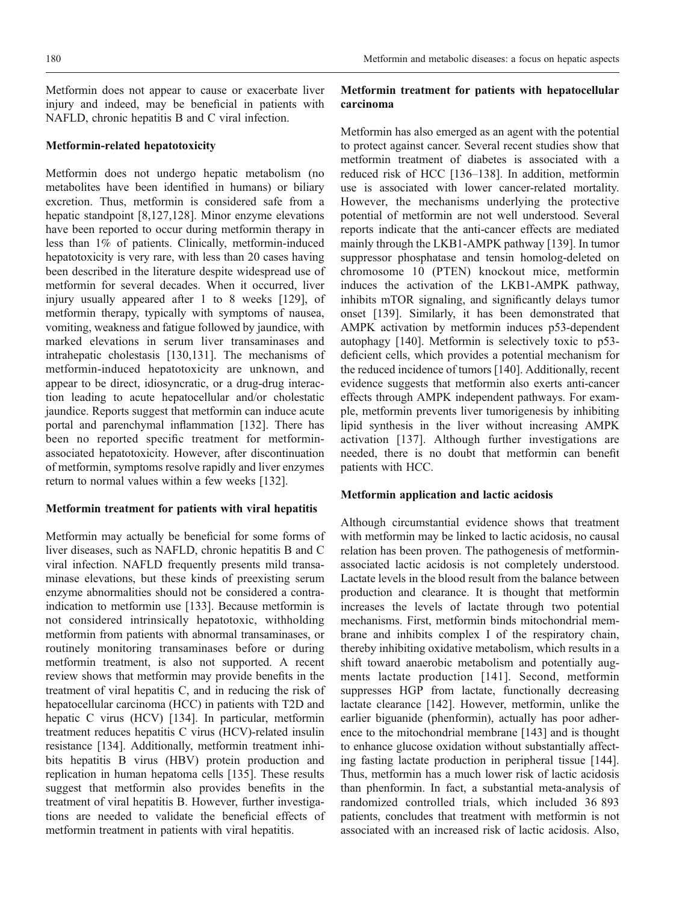Metformin does not appear to cause or exacerbate liver injury and indeed, may be beneficial in patients with NAFLD, chronic hepatitis B and C viral infection.

#### Metformin-related hepatotoxicity

Metformin does not undergo hepatic metabolism (no metabolites have been identified in humans) or biliary excretion. Thus, metformin is considered safe from a hepatic standpoint [\[8,](#page-8-0)[127,128](#page-12-0)]. Minor enzyme elevations have been reported to occur during metformin therapy in less than 1% of patients. Clinically, metformin-induced hepatotoxicity is very rare, with less than 20 cases having been described in the literature despite widespread use of metformin for several decades. When it occurred, liver injury usually appeared after 1 to 8 weeks [[129\]](#page-12-0), of metformin therapy, typically with symptoms of nausea, vomiting, weakness and fatigue followed by jaundice, with marked elevations in serum liver transaminases and intrahepatic cholestasis [\[130](#page-12-0),[131](#page-12-0)]. The mechanisms of metformin-induced hepatotoxicity are unknown, and appear to be direct, idiosyncratic, or a drug-drug interaction leading to acute hepatocellular and/or cholestatic jaundice. Reports suggest that metformin can induce acute portal and parenchymal inflammation [[132\]](#page-12-0). There has been no reported specific treatment for metforminassociated hepatotoxicity. However, after discontinuation of metformin, symptoms resolve rapidly and liver enzymes return to normal values within a few weeks [[132\]](#page-12-0).

### Metformin treatment for patients with viral hepatitis

Metformin may actually be beneficial for some forms of liver diseases, such as NAFLD, chronic hepatitis B and C viral infection. NAFLD frequently presents mild transaminase elevations, but these kinds of preexisting serum enzyme abnormalities should not be considered a contraindication to metformin use [\[133](#page-12-0)]. Because metformin is not considered intrinsically hepatotoxic, withholding metformin from patients with abnormal transaminases, or routinely monitoring transaminases before or during metformin treatment, is also not supported. A recent review shows that metformin may provide benefits in the treatment of viral hepatitis C, and in reducing the risk of hepatocellular carcinoma (HCC) in patients with T2D and hepatic C virus (HCV) [[134](#page-12-0)]. In particular, metformin treatment reduces hepatitis C virus (HCV)-related insulin resistance [[134](#page-12-0)]. Additionally, metformin treatment inhibits hepatitis B virus (HBV) protein production and replication in human hepatoma cells [\[135](#page-12-0)]. These results suggest that metformin also provides benefits in the treatment of viral hepatitis B. However, further investigations are needed to validate the beneficial effects of metformin treatment in patients with viral hepatitis.

# Metformin treatment for patients with hepatocellular carcinoma

Metformin has also emerged as an agent with the potential to protect against cancer. Several recent studies show that metformin treatment of diabetes is associated with a reduced risk of HCC [[136](#page-12-0)–[138](#page-13-0)]. In addition, metformin use is associated with lower cancer-related mortality. However, the mechanisms underlying the protective potential of metformin are not well understood. Several reports indicate that the anti-cancer effects are mediated mainly through the LKB1-AMPK pathway [\[139\]](#page-13-0). In tumor suppressor phosphatase and tensin homolog-deleted on chromosome 10 (PTEN) knockout mice, metformin induces the activation of the LKB1-AMPK pathway, inhibits mTOR signaling, and significantly delays tumor onset [[139\]](#page-13-0). Similarly, it has been demonstrated that AMPK activation by metformin induces p53-dependent autophagy [\[140](#page-13-0)]. Metformin is selectively toxic to p53 deficient cells, which provides a potential mechanism for the reduced incidence of tumors [\[140\]](#page-13-0). Additionally, recent evidence suggests that metformin also exerts anti-cancer effects through AMPK independent pathways. For example, metformin prevents liver tumorigenesis by inhibiting lipid synthesis in the liver without increasing AMPK activation [\[137](#page-12-0)]. Although further investigations are needed, there is no doubt that metformin can benefit patients with HCC.

### Metformin application and lactic acidosis

Although circumstantial evidence shows that treatment with metformin may be linked to lactic acidosis, no causal relation has been proven. The pathogenesis of metforminassociated lactic acidosis is not completely understood. Lactate levels in the blood result from the balance between production and clearance. It is thought that metformin increases the levels of lactate through two potential mechanisms. First, metformin binds mitochondrial membrane and inhibits complex I of the respiratory chain, thereby inhibiting oxidative metabolism, which results in a shift toward anaerobic metabolism and potentially augments lactate production [[141](#page-13-0)]. Second, metformin suppresses HGP from lactate, functionally decreasing lactate clearance [\[142\]](#page-13-0). However, metformin, unlike the earlier biguanide (phenformin), actually has poor adherence to the mitochondrial membrane [\[143](#page-13-0)] and is thought to enhance glucose oxidation without substantially affecting fasting lactate production in peripheral tissue [[144\]](#page-13-0). Thus, metformin has a much lower risk of lactic acidosis than phenformin. In fact, a substantial meta-analysis of randomized controlled trials, which included 36 893 patients, concludes that treatment with metformin is not associated with an increased risk of lactic acidosis. Also,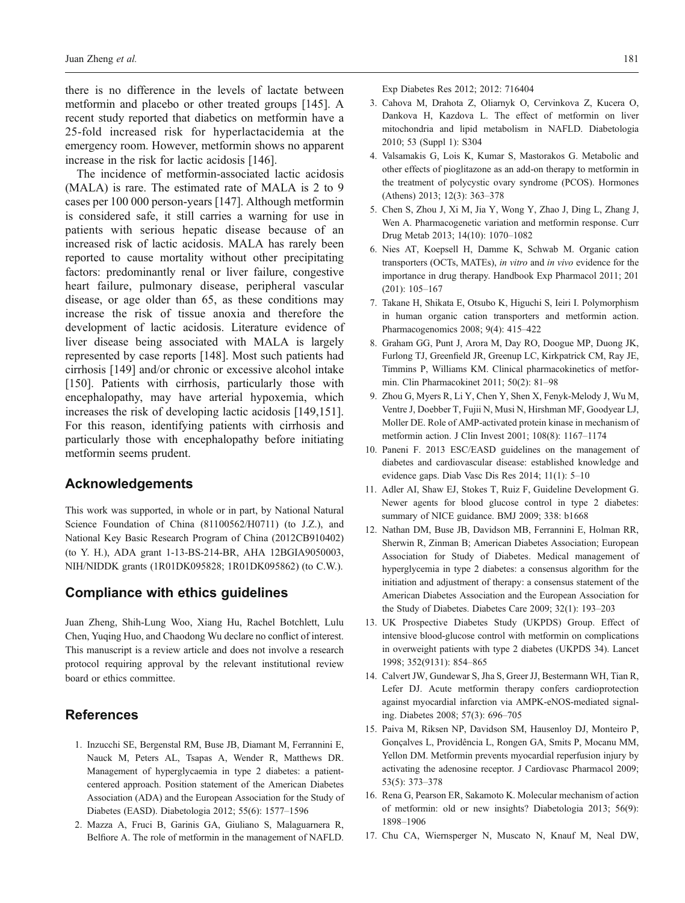<span id="page-8-0"></span>there is no difference in the levels of lactate between metformin and placebo or other treated groups [[145](#page-13-0)]. A recent study reported that diabetics on metformin have a 25-fold increased risk for hyperlactacidemia at the emergency room. However, metformin shows no apparent increase in the risk for lactic acidosis [\[146](#page-13-0)].

The incidence of metformin-associated lactic acidosis (MALA) is rare. The estimated rate of MALA is 2 to 9 cases per 100 000 person-years [\[147\]](#page-13-0). Although metformin is considered safe, it still carries a warning for use in patients with serious hepatic disease because of an increased risk of lactic acidosis. MALA has rarely been reported to cause mortality without other precipitating factors: predominantly renal or liver failure, congestive heart failure, pulmonary disease, peripheral vascular disease, or age older than 65, as these conditions may increase the risk of tissue anoxia and therefore the development of lactic acidosis. Literature evidence of liver disease being associated with MALA is largely represented by case reports [\[148\]](#page-13-0). Most such patients had cirrhosis [[149\]](#page-13-0) and/or chronic or excessive alcohol intake [\[150\]](#page-13-0). Patients with cirrhosis, particularly those with encephalopathy, may have arterial hypoxemia, which increases the risk of developing lactic acidosis [\[149,151](#page-13-0)]. For this reason, identifying patients with cirrhosis and particularly those with encephalopathy before initiating metformin seems prudent.

# Acknowledgements

This work was supported, in whole or in part, by National Natural Science Foundation of China (81100562/H0711) (to J.Z.), and National Key Basic Research Program of China (2012CB910402) (to Y. H.), ADA grant 1-13-BS-214-BR, AHA 12BGIA9050003, NIH/NIDDK grants (1R01DK095828; 1R01DK095862) (to C.W.).

# Compliance with ethics guidelines

Juan Zheng, Shih-Lung Woo, Xiang Hu, Rachel Botchlett, Lulu Chen, Yuqing Huo, and Chaodong Wu declare no conflict of interest. This manuscript is a review article and does not involve a research protocol requiring approval by the relevant institutional review board or ethics committee.

# References

- 1. Inzucchi SE, Bergenstal RM, Buse JB, Diamant M, Ferrannini E, Nauck M, Peters AL, Tsapas A, Wender R, Matthews DR. Management of hyperglycaemia in type 2 diabetes: a patientcentered approach. Position statement of the American Diabetes Association (ADA) and the European Association for the Study of Diabetes (EASD). Diabetologia 2012; 55(6): 1577–1596
- 2. Mazza A, Fruci B, Garinis GA, Giuliano S, Malaguarnera R, Belfiore A. The role of metformin in the management of NAFLD.

Exp Diabetes Res 2012; 2012: 716404

- 3. Cahova M, Drahota Z, Oliarnyk O, Cervinkova Z, Kucera O, Dankova H, Kazdova L. The effect of metformin on liver mitochondria and lipid metabolism in NAFLD. Diabetologia 2010; 53 (Suppl 1): S304
- 4. Valsamakis G, Lois K, Kumar S, Mastorakos G. Metabolic and other effects of pioglitazone as an add-on therapy to metformin in the treatment of polycystic ovary syndrome (PCOS). Hormones (Athens) 2013; 12(3): 363–378
- 5. Chen S, Zhou J, Xi M, Jia Y, Wong Y, Zhao J, Ding L, Zhang J, Wen A. Pharmacogenetic variation and metformin response. Curr Drug Metab 2013; 14(10): 1070–1082
- 6. Nies AT, Koepsell H, Damme K, Schwab M. Organic cation transporters (OCTs, MATEs), in vitro and in vivo evidence for the importance in drug therapy. Handbook Exp Pharmacol 2011; 201 (201): 105–167
- 7. Takane H, Shikata E, Otsubo K, Higuchi S, Ieiri I. Polymorphism in human organic cation transporters and metformin action. Pharmacogenomics 2008; 9(4): 415–422
- 8. Graham GG, Punt J, Arora M, Day RO, Doogue MP, Duong JK, Furlong TJ, Greenfield JR, Greenup LC, Kirkpatrick CM, Ray JE, Timmins P, Williams KM. Clinical pharmacokinetics of metformin. Clin Pharmacokinet 2011; 50(2): 81–98
- 9. Zhou G, Myers R, Li Y, Chen Y, Shen X, Fenyk-Melody J, Wu M, Ventre J, Doebber T, Fujii N, Musi N, Hirshman MF, Goodyear LJ, Moller DE. Role of AMP-activated protein kinase in mechanism of metformin action. J Clin Invest 2001; 108(8): 1167–1174
- 10. Paneni F. 2013 ESC/EASD guidelines on the management of diabetes and cardiovascular disease: established knowledge and evidence gaps. Diab Vasc Dis Res 2014; 11(1): 5–10
- 11. Adler AI, Shaw EJ, Stokes T, Ruiz F, Guideline Development G. Newer agents for blood glucose control in type 2 diabetes: summary of NICE guidance. BMJ 2009; 338: b1668
- 12. Nathan DM, Buse JB, Davidson MB, Ferrannini E, Holman RR, Sherwin R, Zinman B; American Diabetes Association; European Association for Study of Diabetes. Medical management of hyperglycemia in type 2 diabetes: a consensus algorithm for the initiation and adjustment of therapy: a consensus statement of the American Diabetes Association and the European Association for the Study of Diabetes. Diabetes Care 2009; 32(1): 193–203
- 13. UK Prospective Diabetes Study (UKPDS) Group. Effect of intensive blood-glucose control with metformin on complications in overweight patients with type 2 diabetes (UKPDS 34). Lancet 1998; 352(9131): 854–865
- 14. Calvert JW, Gundewar S, Jha S, Greer JJ, Bestermann WH, Tian R, Lefer DJ. Acute metformin therapy confers cardioprotection against myocardial infarction via AMPK-eNOS-mediated signaling. Diabetes 2008; 57(3): 696–705
- 15. Paiva M, Riksen NP, Davidson SM, Hausenloy DJ, Monteiro P, Gonçalves L, Providência L, Rongen GA, Smits P, Mocanu MM, Yellon DM. Metformin prevents myocardial reperfusion injury by activating the adenosine receptor. J Cardiovasc Pharmacol 2009; 53(5): 373–378
- 16. Rena G, Pearson ER, Sakamoto K. Molecular mechanism of action of metformin: old or new insights? Diabetologia 2013; 56(9): 1898–1906
- 17. Chu CA, Wiernsperger N, Muscato N, Knauf M, Neal DW,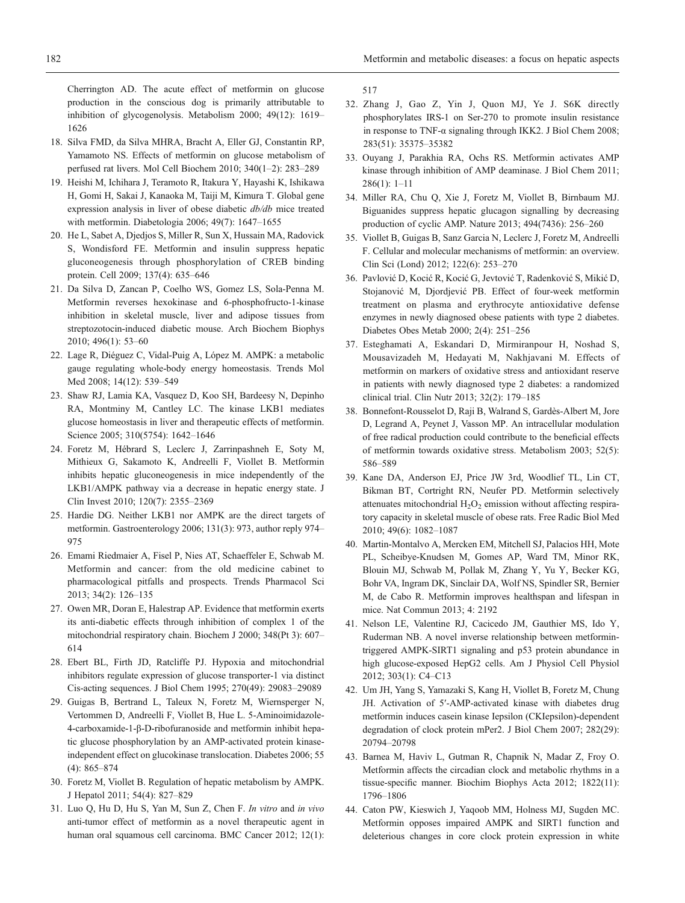<span id="page-9-0"></span>Cherrington AD. The acute effect of metformin on glucose production in the conscious dog is primarily attributable to inhibition of glycogenolysis. Metabolism 2000; 49(12): 1619– 1626

- 18. Silva FMD, da Silva MHRA, Bracht A, Eller GJ, Constantin RP, Yamamoto NS. Effects of metformin on glucose metabolism of perfused rat livers. Mol Cell Biochem 2010; 340(1–2): 283–289
- 19. Heishi M, Ichihara J, Teramoto R, Itakura Y, Hayashi K, Ishikawa H, Gomi H, Sakai J, Kanaoka M, Taiji M, Kimura T. Global gene expression analysis in liver of obese diabetic db/db mice treated with metformin. Diabetologia 2006; 49(7): 1647–1655
- 20. He L, Sabet A, Djedjos S, Miller R, Sun X, Hussain MA, Radovick S, Wondisford FE. Metformin and insulin suppress hepatic gluconeogenesis through phosphorylation of CREB binding protein. Cell 2009; 137(4): 635–646
- 21. Da Silva D, Zancan P, Coelho WS, Gomez LS, Sola-Penna M. Metformin reverses hexokinase and 6-phosphofructo-1-kinase inhibition in skeletal muscle, liver and adipose tissues from streptozotocin-induced diabetic mouse. Arch Biochem Biophys 2010; 496(1): 53–60
- 22. Lage R, Diéguez C, Vidal-Puig A, López M. AMPK: a metabolic gauge regulating whole-body energy homeostasis. Trends Mol Med 2008; 14(12): 539–549
- 23. Shaw RJ, Lamia KA, Vasquez D, Koo SH, Bardeesy N, Depinho RA, Montminy M, Cantley LC. The kinase LKB1 mediates glucose homeostasis in liver and therapeutic effects of metformin. Science 2005; 310(5754): 1642–1646
- 24. Foretz M, Hébrard S, Leclerc J, Zarrinpashneh E, Soty M, Mithieux G, Sakamoto K, Andreelli F, Viollet B. Metformin inhibits hepatic gluconeogenesis in mice independently of the LKB1/AMPK pathway via a decrease in hepatic energy state. J Clin Invest 2010; 120(7): 2355–2369
- 25. Hardie DG. Neither LKB1 nor AMPK are the direct targets of metformin. Gastroenterology 2006; 131(3): 973, author reply 974– 975
- 26. Emami Riedmaier A, Fisel P, Nies AT, Schaeffeler E, Schwab M. Metformin and cancer: from the old medicine cabinet to pharmacological pitfalls and prospects. Trends Pharmacol Sci 2013; 34(2): 126–135
- 27. Owen MR, Doran E, Halestrap AP. Evidence that metformin exerts its anti-diabetic effects through inhibition of complex 1 of the mitochondrial respiratory chain. Biochem J 2000; 348(Pt 3): 607– 614
- 28. Ebert BL, Firth JD, Ratcliffe PJ. Hypoxia and mitochondrial inhibitors regulate expression of glucose transporter-1 via distinct Cis-acting sequences. J Biol Chem 1995; 270(49): 29083–29089
- 29. Guigas B, Bertrand L, Taleux N, Foretz M, Wiernsperger N, Vertommen D, Andreelli F, Viollet B, Hue L. 5-Aminoimidazole-4-carboxamide-1-β-D-ribofuranoside and metformin inhibit hepatic glucose phosphorylation by an AMP-activated protein kinaseindependent effect on glucokinase translocation. Diabetes 2006; 55 (4): 865–874
- 30. Foretz M, Viollet B. Regulation of hepatic metabolism by AMPK. J Hepatol 2011; 54(4): 827–829
- 31. Luo Q, Hu D, Hu S, Yan M, Sun Z, Chen F. In vitro and in vivo anti-tumor effect of metformin as a novel therapeutic agent in human oral squamous cell carcinoma. BMC Cancer 2012; 12(1):

517

- 32. Zhang J, Gao Z, Yin J, Quon MJ, Ye J. S6K directly phosphorylates IRS-1 on Ser-270 to promote insulin resistance in response to TNF-α signaling through IKK2. J Biol Chem 2008; 283(51): 35375–35382
- 33. Ouyang J, Parakhia RA, Ochs RS. Metformin activates AMP kinase through inhibition of AMP deaminase. J Biol Chem 2011; 286(1): 1–11
- 34. Miller RA, Chu Q, Xie J, Foretz M, Viollet B, Birnbaum MJ. Biguanides suppress hepatic glucagon signalling by decreasing production of cyclic AMP. Nature 2013; 494(7436): 256–260
- 35. Viollet B, Guigas B, Sanz Garcia N, Leclerc J, Foretz M, Andreelli F. Cellular and molecular mechanisms of metformin: an overview. Clin Sci (Lond) 2012; 122(6): 253–270
- 36. Pavlović D, Kocić R, Kocić G, Jevtović T, Radenković S, Mikić D, Stojanović M, Djordjević PB. Effect of four-week metformin treatment on plasma and erythrocyte antioxidative defense enzymes in newly diagnosed obese patients with type 2 diabetes. Diabetes Obes Metab 2000; 2(4): 251–256
- 37. Esteghamati A, Eskandari D, Mirmiranpour H, Noshad S, Mousavizadeh M, Hedayati M, Nakhjavani M. Effects of metformin on markers of oxidative stress and antioxidant reserve in patients with newly diagnosed type 2 diabetes: a randomized clinical trial. Clin Nutr 2013; 32(2): 179–185
- 38. Bonnefont-Rousselot D, Raji B, Walrand S, Gardès-Albert M, Jore D, Legrand A, Peynet J, Vasson MP. An intracellular modulation of free radical production could contribute to the beneficial effects of metformin towards oxidative stress. Metabolism 2003; 52(5): 586–589
- 39. Kane DA, Anderson EJ, Price JW 3rd, Woodlief TL, Lin CT, Bikman BT, Cortright RN, Neufer PD. Metformin selectively attenuates mitochondrial  $H_2O_2$  emission without affecting respiratory capacity in skeletal muscle of obese rats. Free Radic Biol Med 2010; 49(6): 1082–1087
- 40. Martin-Montalvo A, Mercken EM, Mitchell SJ, Palacios HH, Mote PL, Scheibye-Knudsen M, Gomes AP, Ward TM, Minor RK, Blouin MJ, Schwab M, Pollak M, Zhang Y, Yu Y, Becker KG, Bohr VA, Ingram DK, Sinclair DA, Wolf NS, Spindler SR, Bernier M, de Cabo R. Metformin improves healthspan and lifespan in mice. Nat Commun 2013; 4: 2192
- 41. Nelson LE, Valentine RJ, Cacicedo JM, Gauthier MS, Ido Y, Ruderman NB. A novel inverse relationship between metformintriggered AMPK-SIRT1 signaling and p53 protein abundance in high glucose-exposed HepG2 cells. Am J Physiol Cell Physiol 2012; 303(1): C4–C13
- 42. Um JH, Yang S, Yamazaki S, Kang H, Viollet B, Foretz M, Chung JH. Activation of 5′-AMP-activated kinase with diabetes drug metformin induces casein kinase Iepsilon (CKIepsilon)-dependent degradation of clock protein mPer2. J Biol Chem 2007; 282(29): 20794–20798
- 43. Barnea M, Haviv L, Gutman R, Chapnik N, Madar Z, Froy O. Metformin affects the circadian clock and metabolic rhythms in a tissue-specific manner. Biochim Biophys Acta 2012; 1822(11): 1796–1806
- 44. Caton PW, Kieswich J, Yaqoob MM, Holness MJ, Sugden MC. Metformin opposes impaired AMPK and SIRT1 function and deleterious changes in core clock protein expression in white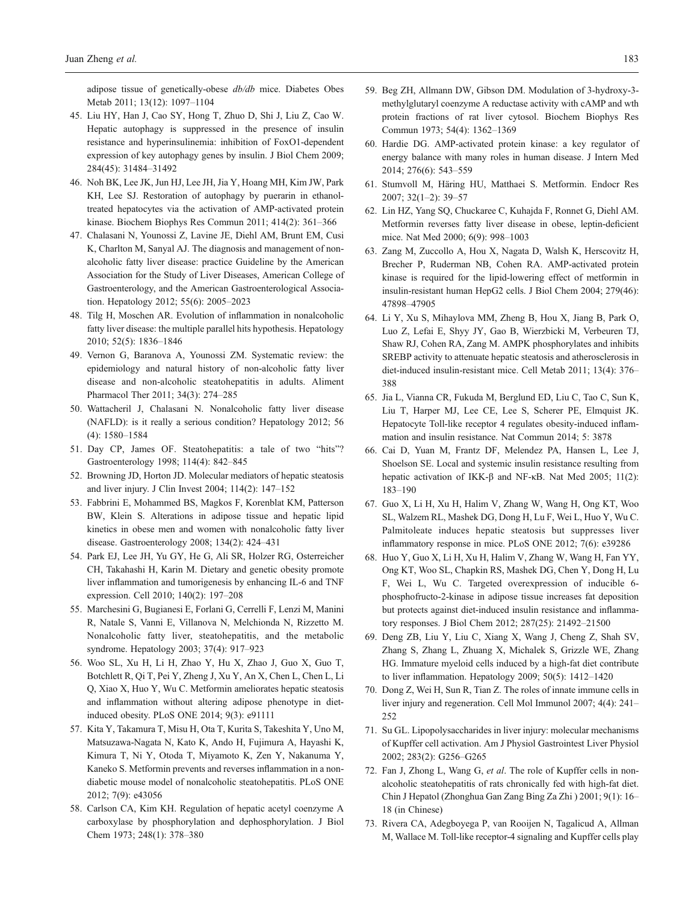<span id="page-10-0"></span>adipose tissue of genetically-obese db/db mice. Diabetes Obes Metab 2011; 13(12): 1097–1104

- 45. Liu HY, Han J, Cao SY, Hong T, Zhuo D, Shi J, Liu Z, Cao W. Hepatic autophagy is suppressed in the presence of insulin resistance and hyperinsulinemia: inhibition of FoxO1-dependent expression of key autophagy genes by insulin. J Biol Chem 2009; 284(45): 31484–31492
- 46. Noh BK, Lee JK, Jun HJ, Lee JH, Jia Y, Hoang MH, Kim JW, Park KH, Lee SJ. Restoration of autophagy by puerarin in ethanoltreated hepatocytes via the activation of AMP-activated protein kinase. Biochem Biophys Res Commun 2011; 414(2): 361–366
- 47. Chalasani N, Younossi Z, Lavine JE, Diehl AM, Brunt EM, Cusi K, Charlton M, Sanyal AJ. The diagnosis and management of nonalcoholic fatty liver disease: practice Guideline by the American Association for the Study of Liver Diseases, American College of Gastroenterology, and the American Gastroenterological Association. Hepatology 2012; 55(6): 2005–2023
- 48. Tilg H, Moschen AR. Evolution of inflammation in nonalcoholic fatty liver disease: the multiple parallel hits hypothesis. Hepatology 2010; 52(5): 1836–1846
- 49. Vernon G, Baranova A, Younossi ZM. Systematic review: the epidemiology and natural history of non-alcoholic fatty liver disease and non-alcoholic steatohepatitis in adults. Aliment Pharmacol Ther 2011; 34(3): 274–285
- 50. Wattacheril J, Chalasani N. Nonalcoholic fatty liver disease (NAFLD): is it really a serious condition? Hepatology 2012; 56 (4): 1580–1584
- 51. Day CP, James OF. Steatohepatitis: a tale of two "hits"? Gastroenterology 1998; 114(4): 842–845
- 52. Browning JD, Horton JD. Molecular mediators of hepatic steatosis and liver injury. J Clin Invest 2004; 114(2): 147–152
- 53. Fabbrini E, Mohammed BS, Magkos F, Korenblat KM, Patterson BW, Klein S. Alterations in adipose tissue and hepatic lipid kinetics in obese men and women with nonalcoholic fatty liver disease. Gastroenterology 2008; 134(2): 424–431
- 54. Park EJ, Lee JH, Yu GY, He G, Ali SR, Holzer RG, Osterreicher CH, Takahashi H, Karin M. Dietary and genetic obesity promote liver inflammation and tumorigenesis by enhancing IL-6 and TNF expression. Cell 2010; 140(2): 197–208
- 55. Marchesini G, Bugianesi E, Forlani G, Cerrelli F, Lenzi M, Manini R, Natale S, Vanni E, Villanova N, Melchionda N, Rizzetto M. Nonalcoholic fatty liver, steatohepatitis, and the metabolic syndrome. Hepatology 2003; 37(4): 917–923
- 56. Woo SL, Xu H, Li H, Zhao Y, Hu X, Zhao J, Guo X, Guo T, Botchlett R, Qi T, Pei Y, Zheng J, Xu Y, An X, Chen L, Chen L, Li Q, Xiao X, Huo Y, Wu C. Metformin ameliorates hepatic steatosis and inflammation without altering adipose phenotype in dietinduced obesity. PLoS ONE 2014; 9(3): e91111
- 57. Kita Y, Takamura T, Misu H, Ota T, Kurita S, Takeshita Y, Uno M, Matsuzawa-Nagata N, Kato K, Ando H, Fujimura A, Hayashi K, Kimura T, Ni Y, Otoda T, Miyamoto K, Zen Y, Nakanuma Y, Kaneko S. Metformin prevents and reverses inflammation in a nondiabetic mouse model of nonalcoholic steatohepatitis. PLoS ONE 2012; 7(9): e43056
- 58. Carlson CA, Kim KH. Regulation of hepatic acetyl coenzyme A carboxylase by phosphorylation and dephosphorylation. J Biol Chem 1973; 248(1): 378–380
- 59. Beg ZH, Allmann DW, Gibson DM. Modulation of 3-hydroxy-3 methylglutaryl coenzyme A reductase activity with cAMP and wth protein fractions of rat liver cytosol. Biochem Biophys Res Commun 1973; 54(4): 1362–1369
- 60. Hardie DG. AMP-activated protein kinase: a key regulator of energy balance with many roles in human disease. J Intern Med 2014; 276(6): 543–559
- 61. Stumvoll M, Häring HU, Matthaei S. Metformin. Endocr Res 2007; 32(1–2): 39–57
- 62. Lin HZ, Yang SQ, Chuckaree C, Kuhajda F, Ronnet G, Diehl AM. Metformin reverses fatty liver disease in obese, leptin-deficient mice. Nat Med 2000; 6(9): 998–1003
- 63. Zang M, Zuccollo A, Hou X, Nagata D, Walsh K, Herscovitz H, Brecher P, Ruderman NB, Cohen RA. AMP-activated protein kinase is required for the lipid-lowering effect of metformin in insulin-resistant human HepG2 cells. J Biol Chem 2004; 279(46): 47898–47905
- 64. Li Y, Xu S, Mihaylova MM, Zheng B, Hou X, Jiang B, Park O, Luo Z, Lefai E, Shyy JY, Gao B, Wierzbicki M, Verbeuren TJ, Shaw RJ, Cohen RA, Zang M. AMPK phosphorylates and inhibits SREBP activity to attenuate hepatic steatosis and atherosclerosis in diet-induced insulin-resistant mice. Cell Metab 2011; 13(4): 376– 388
- 65. Jia L, Vianna CR, Fukuda M, Berglund ED, Liu C, Tao C, Sun K, Liu T, Harper MJ, Lee CE, Lee S, Scherer PE, Elmquist JK. Hepatocyte Toll-like receptor 4 regulates obesity-induced inflammation and insulin resistance. Nat Commun 2014; 5: 3878
- 66. Cai D, Yuan M, Frantz DF, Melendez PA, Hansen L, Lee J, Shoelson SE. Local and systemic insulin resistance resulting from hepatic activation of IKK-β and NF-κB. Nat Med 2005; 11(2): 183–190
- 67. Guo X, Li H, Xu H, Halim V, Zhang W, Wang H, Ong KT, Woo SL, Walzem RL, Mashek DG, Dong H, Lu F, Wei L, Huo Y, Wu C. Palmitoleate induces hepatic steatosis but suppresses liver inflammatory response in mice. PLoS ONE 2012; 7(6): e39286
- 68. Huo Y, Guo X, Li H, Xu H, Halim V, Zhang W, Wang H, Fan YY, Ong KT, Woo SL, Chapkin RS, Mashek DG, Chen Y, Dong H, Lu F, Wei L, Wu C. Targeted overexpression of inducible 6 phosphofructo-2-kinase in adipose tissue increases fat deposition but protects against diet-induced insulin resistance and inflammatory responses. J Biol Chem 2012; 287(25): 21492–21500
- 69. Deng ZB, Liu Y, Liu C, Xiang X, Wang J, Cheng Z, Shah SV, Zhang S, Zhang L, Zhuang X, Michalek S, Grizzle WE, Zhang HG. Immature myeloid cells induced by a high-fat diet contribute to liver inflammation. Hepatology 2009; 50(5): 1412–1420
- 70. Dong Z, Wei H, Sun R, Tian Z. The roles of innate immune cells in liver injury and regeneration. Cell Mol Immunol 2007; 4(4): 241– 252
- 71. Su GL. Lipopolysaccharides in liver injury: molecular mechanisms of Kupffer cell activation. Am J Physiol Gastrointest Liver Physiol 2002; 283(2): G256–G265
- 72. Fan J, Zhong L, Wang G, et al. The role of Kupffer cells in nonalcoholic steatohepatitis of rats chronically fed with high-fat diet. Chin J Hepatol (Zhonghua Gan Zang Bing Za Zhi ) 2001; 9(1): 16– 18 (in Chinese)
- 73. Rivera CA, Adegboyega P, van Rooijen N, Tagalicud A, Allman M, Wallace M. Toll-like receptor-4 signaling and Kupffer cells play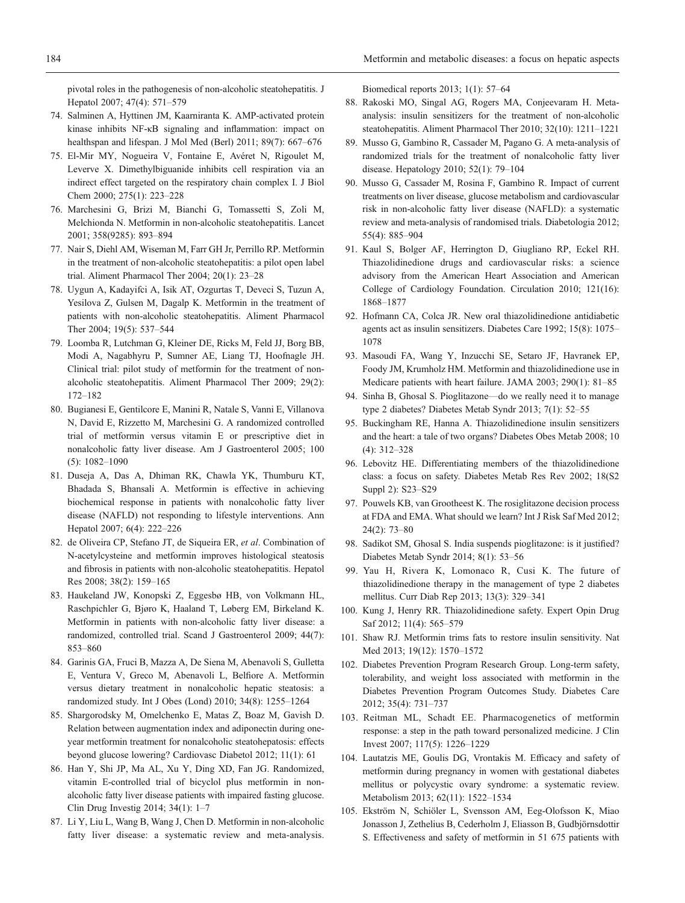<span id="page-11-0"></span>pivotal roles in the pathogenesis of non-alcoholic steatohepatitis. J Hepatol 2007; 47(4): 571–579

- 74. Salminen A, Hyttinen JM, Kaarniranta K. AMP-activated protein kinase inhibits NF-κB signaling and inflammation: impact on healthspan and lifespan. J Mol Med (Berl) 2011; 89(7): 667–676
- 75. El-Mir MY, Nogueira V, Fontaine E, Avéret N, Rigoulet M, Leverve X. Dimethylbiguanide inhibits cell respiration via an indirect effect targeted on the respiratory chain complex I. J Biol Chem 2000; 275(1): 223–228
- 76. Marchesini G, Brizi M, Bianchi G, Tomassetti S, Zoli M, Melchionda N. Metformin in non-alcoholic steatohepatitis. Lancet 2001; 358(9285): 893–894
- 77. Nair S, Diehl AM, Wiseman M, Farr GH Jr, Perrillo RP. Metformin in the treatment of non-alcoholic steatohepatitis: a pilot open label trial. Aliment Pharmacol Ther 2004; 20(1): 23–28
- 78. Uygun A, Kadayifci A, Isik AT, Ozgurtas T, Deveci S, Tuzun A, Yesilova Z, Gulsen M, Dagalp K. Metformin in the treatment of patients with non-alcoholic steatohepatitis. Aliment Pharmacol Ther 2004; 19(5): 537–544
- 79. Loomba R, Lutchman G, Kleiner DE, Ricks M, Feld JJ, Borg BB, Modi A, Nagabhyru P, Sumner AE, Liang TJ, Hoofnagle JH. Clinical trial: pilot study of metformin for the treatment of nonalcoholic steatohepatitis. Aliment Pharmacol Ther 2009; 29(2): 172–182
- 80. Bugianesi E, Gentilcore E, Manini R, Natale S, Vanni E, Villanova N, David E, Rizzetto M, Marchesini G. A randomized controlled trial of metformin versus vitamin E or prescriptive diet in nonalcoholic fatty liver disease. Am J Gastroenterol 2005; 100 (5): 1082–1090
- 81. Duseja A, Das A, Dhiman RK, Chawla YK, Thumburu KT, Bhadada S, Bhansali A. Metformin is effective in achieving biochemical response in patients with nonalcoholic fatty liver disease (NAFLD) not responding to lifestyle interventions. Ann Hepatol 2007; 6(4): 222–226
- 82. de Oliveira CP, Stefano JT, de Siqueira ER, et al. Combination of N-acetylcysteine and metformin improves histological steatosis and fibrosis in patients with non-alcoholic steatohepatitis. Hepatol Res 2008; 38(2): 159–165
- 83. Haukeland JW, Konopski Z, Eggesbø HB, von Volkmann HL, Raschpichler G, Bjøro K, Haaland T, Løberg EM, Birkeland K. Metformin in patients with non-alcoholic fatty liver disease: a randomized, controlled trial. Scand J Gastroenterol 2009; 44(7): 853–860
- 84. Garinis GA, Fruci B, Mazza A, De Siena M, Abenavoli S, Gulletta E, Ventura V, Greco M, Abenavoli L, Belfiore A. Metformin versus dietary treatment in nonalcoholic hepatic steatosis: a randomized study. Int J Obes (Lond) 2010; 34(8): 1255–1264
- 85. Shargorodsky M, Omelchenko E, Matas Z, Boaz M, Gavish D. Relation between augmentation index and adiponectin during oneyear metformin treatment for nonalcoholic steatohepatosis: effects beyond glucose lowering? Cardiovasc Diabetol 2012; 11(1): 61
- 86. Han Y, Shi JP, Ma AL, Xu Y, Ding XD, Fan JG. Randomized, vitamin E-controlled trial of bicyclol plus metformin in nonalcoholic fatty liver disease patients with impaired fasting glucose. Clin Drug Investig 2014; 34(1): 1–7
- 87. Li Y, Liu L, Wang B, Wang J, Chen D. Metformin in non-alcoholic fatty liver disease: a systematic review and meta-analysis.

Biomedical reports 2013; 1(1): 57–64

- 88. Rakoski MO, Singal AG, Rogers MA, Conjeevaram H. Metaanalysis: insulin sensitizers for the treatment of non-alcoholic steatohepatitis. Aliment Pharmacol Ther 2010; 32(10): 1211–1221
- 89. Musso G, Gambino R, Cassader M, Pagano G. A meta-analysis of randomized trials for the treatment of nonalcoholic fatty liver disease. Hepatology 2010; 52(1): 79–104
- 90. Musso G, Cassader M, Rosina F, Gambino R. Impact of current treatments on liver disease, glucose metabolism and cardiovascular risk in non-alcoholic fatty liver disease (NAFLD): a systematic review and meta-analysis of randomised trials. Diabetologia 2012; 55(4): 885–904
- 91. Kaul S, Bolger AF, Herrington D, Giugliano RP, Eckel RH. Thiazolidinedione drugs and cardiovascular risks: a science advisory from the American Heart Association and American College of Cardiology Foundation. Circulation 2010; 121(16): 1868–1877
- 92. Hofmann CA, Colca JR. New oral thiazolidinedione antidiabetic agents act as insulin sensitizers. Diabetes Care 1992; 15(8): 1075– 1078
- 93. Masoudi FA, Wang Y, Inzucchi SE, Setaro JF, Havranek EP, Foody JM, Krumholz HM. Metformin and thiazolidinedione use in Medicare patients with heart failure. JAMA 2003; 290(1): 81–85
- 94. Sinha B, Ghosal S. Pioglitazone—do we really need it to manage type 2 diabetes? Diabetes Metab Syndr 2013; 7(1): 52–55
- 95. Buckingham RE, Hanna A. Thiazolidinedione insulin sensitizers and the heart: a tale of two organs? Diabetes Obes Metab 2008; 10 (4): 312–328
- 96. Lebovitz HE. Differentiating members of the thiazolidinedione class: a focus on safety. Diabetes Metab Res Rev 2002; 18(S2 Suppl 2): S23–S29
- 97. Pouwels KB, van Grootheest K. The rosiglitazone decision process at FDA and EMA. What should we learn? Int J Risk Saf Med 2012; 24(2): 73–80
- 98. Sadikot SM, Ghosal S. India suspends pioglitazone: is it justified? Diabetes Metab Syndr 2014; 8(1): 53–56
- 99. Yau H, Rivera K, Lomonaco R, Cusi K. The future of thiazolidinedione therapy in the management of type 2 diabetes mellitus. Curr Diab Rep 2013; 13(3): 329–341
- 100. Kung J, Henry RR. Thiazolidinedione safety. Expert Opin Drug Saf 2012; 11(4): 565–579
- 101. Shaw RJ. Metformin trims fats to restore insulin sensitivity. Nat Med 2013; 19(12): 1570–1572
- 102. Diabetes Prevention Program Research Group. Long-term safety, tolerability, and weight loss associated with metformin in the Diabetes Prevention Program Outcomes Study. Diabetes Care 2012; 35(4): 731–737
- 103. Reitman ML, Schadt EE. Pharmacogenetics of metformin response: a step in the path toward personalized medicine. J Clin Invest 2007; 117(5): 1226–1229
- 104. Lautatzis ME, Goulis DG, Vrontakis M. Efficacy and safety of metformin during pregnancy in women with gestational diabetes mellitus or polycystic ovary syndrome: a systematic review. Metabolism 2013; 62(11): 1522–1534
- 105. Ekström N, Schiöler L, Svensson AM, Eeg-Olofsson K, Miao Jonasson J, Zethelius B, Cederholm J, Eliasson B, Gudbjörnsdottir S. Effectiveness and safety of metformin in 51 675 patients with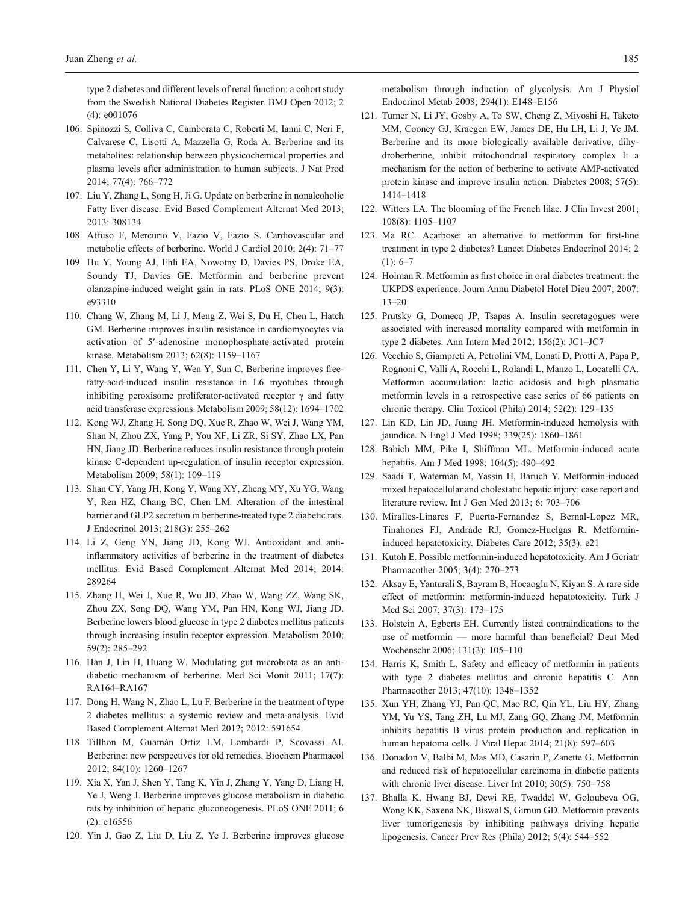<span id="page-12-0"></span>type 2 diabetes and different levels of renal function: a cohort study from the Swedish National Diabetes Register. BMJ Open 2012; 2 (4): e001076

- 106. Spinozzi S, Colliva C, Camborata C, Roberti M, Ianni C, Neri F, Calvarese C, Lisotti A, Mazzella G, Roda A. Berberine and its metabolites: relationship between physicochemical properties and plasma levels after administration to human subjects. J Nat Prod 2014; 77(4): 766–772
- 107. Liu Y, Zhang L, Song H, Ji G. Update on berberine in nonalcoholic Fatty liver disease. Evid Based Complement Alternat Med 2013; 2013: 308134
- 108. Affuso F, Mercurio V, Fazio V, Fazio S. Cardiovascular and metabolic effects of berberine. World J Cardiol 2010; 2(4): 71–77
- 109. Hu Y, Young AJ, Ehli EA, Nowotny D, Davies PS, Droke EA, Soundy TJ, Davies GE. Metformin and berberine prevent olanzapine-induced weight gain in rats. PLoS ONE 2014; 9(3): e93310
- 110. Chang W, Zhang M, Li J, Meng Z, Wei S, Du H, Chen L, Hatch GM. Berberine improves insulin resistance in cardiomyocytes via activation of 5′-adenosine monophosphate-activated protein kinase. Metabolism 2013; 62(8): 1159–1167
- 111. Chen Y, Li Y, Wang Y, Wen Y, Sun C. Berberine improves freefatty-acid-induced insulin resistance in L6 myotubes through inhibiting peroxisome proliferator-activated receptor  $\gamma$  and fatty acid transferase expressions. Metabolism 2009; 58(12): 1694–1702
- 112. Kong WJ, Zhang H, Song DQ, Xue R, Zhao W, Wei J, Wang YM, Shan N, Zhou ZX, Yang P, You XF, Li ZR, Si SY, Zhao LX, Pan HN, Jiang JD. Berberine reduces insulin resistance through protein kinase C-dependent up-regulation of insulin receptor expression. Metabolism 2009; 58(1): 109–119
- 113. Shan CY, Yang JH, Kong Y, Wang XY, Zheng MY, Xu YG, Wang Y, Ren HZ, Chang BC, Chen LM. Alteration of the intestinal barrier and GLP2 secretion in berberine-treated type 2 diabetic rats. J Endocrinol 2013; 218(3): 255–262
- 114. Li Z, Geng YN, Jiang JD, Kong WJ. Antioxidant and antiinflammatory activities of berberine in the treatment of diabetes mellitus. Evid Based Complement Alternat Med 2014; 2014: 289264
- 115. Zhang H, Wei J, Xue R, Wu JD, Zhao W, Wang ZZ, Wang SK, Zhou ZX, Song DQ, Wang YM, Pan HN, Kong WJ, Jiang JD. Berberine lowers blood glucose in type 2 diabetes mellitus patients through increasing insulin receptor expression. Metabolism 2010; 59(2): 285–292
- 116. Han J, Lin H, Huang W. Modulating gut microbiota as an antidiabetic mechanism of berberine. Med Sci Monit 2011; 17(7): RA164–RA167
- 117. Dong H, Wang N, Zhao L, Lu F. Berberine in the treatment of type 2 diabetes mellitus: a systemic review and meta-analysis. Evid Based Complement Alternat Med 2012; 2012: 591654
- 118. Tillhon M, Guamán Ortiz LM, Lombardi P, Scovassi AI. Berberine: new perspectives for old remedies. Biochem Pharmacol 2012; 84(10): 1260–1267
- 119. Xia X, Yan J, Shen Y, Tang K, Yin J, Zhang Y, Yang D, Liang H, Ye J, Weng J. Berberine improves glucose metabolism in diabetic rats by inhibition of hepatic gluconeogenesis. PLoS ONE 2011; 6 (2): e16556
- 120. Yin J, Gao Z, Liu D, Liu Z, Ye J. Berberine improves glucose

metabolism through induction of glycolysis. Am J Physiol Endocrinol Metab 2008; 294(1): E148–E156

- 121. Turner N, Li JY, Gosby A, To SW, Cheng Z, Miyoshi H, Taketo MM, Cooney GJ, Kraegen EW, James DE, Hu LH, Li J, Ye JM. Berberine and its more biologically available derivative, dihydroberberine, inhibit mitochondrial respiratory complex I: a mechanism for the action of berberine to activate AMP-activated protein kinase and improve insulin action. Diabetes 2008; 57(5): 1414–1418
- 122. Witters LA. The blooming of the French lilac. J Clin Invest 2001; 108(8): 1105–1107
- 123. Ma RC. Acarbose: an alternative to metformin for first-line treatment in type 2 diabetes? Lancet Diabetes Endocrinol 2014; 2  $(1): 6-7$
- 124. Holman R. Metformin as first choice in oral diabetes treatment: the UKPDS experience. Journ Annu Diabetol Hotel Dieu 2007; 2007: 13–20
- 125. Prutsky G, Domecq JP, Tsapas A. Insulin secretagogues were associated with increased mortality compared with metformin in type 2 diabetes. Ann Intern Med 2012; 156(2): JC1–JC7
- 126. Vecchio S, Giampreti A, Petrolini VM, Lonati D, Protti A, Papa P, Rognoni C, Valli A, Rocchi L, Rolandi L, Manzo L, Locatelli CA. Metformin accumulation: lactic acidosis and high plasmatic metformin levels in a retrospective case series of 66 patients on chronic therapy. Clin Toxicol (Phila) 2014; 52(2): 129–135
- 127. Lin KD, Lin JD, Juang JH. Metformin-induced hemolysis with jaundice. N Engl J Med 1998; 339(25): 1860–1861
- 128. Babich MM, Pike I, Shiffman ML. Metformin-induced acute hepatitis. Am J Med 1998; 104(5): 490–492
- 129. Saadi T, Waterman M, Yassin H, Baruch Y. Metformin-induced mixed hepatocellular and cholestatic hepatic injury: case report and literature review. Int J Gen Med 2013; 6: 703–706
- 130. Miralles-Linares F, Puerta-Fernandez S, Bernal-Lopez MR, Tinahones FJ, Andrade RJ, Gomez-Huelgas R. Metformininduced hepatotoxicity. Diabetes Care 2012; 35(3): e21
- 131. Kutoh E. Possible metformin-induced hepatotoxicity. Am J Geriatr Pharmacother 2005; 3(4): 270–273
- 132. Aksay E, Yanturali S, Bayram B, Hocaoglu N, Kiyan S. A rare side effect of metformin: metformin-induced hepatotoxicity. Turk J Med Sci 2007; 37(3): 173–175
- 133. Holstein A, Egberts EH. Currently listed contraindications to the use of metformin — more harmful than beneficial? Deut Med Wochenschr 2006; 131(3): 105–110
- 134. Harris K, Smith L. Safety and efficacy of metformin in patients with type 2 diabetes mellitus and chronic hepatitis C. Ann Pharmacother 2013; 47(10): 1348–1352
- 135. Xun YH, Zhang YJ, Pan QC, Mao RC, Qin YL, Liu HY, Zhang YM, Yu YS, Tang ZH, Lu MJ, Zang GQ, Zhang JM. Metformin inhibits hepatitis B virus protein production and replication in human hepatoma cells. J Viral Hepat 2014; 21(8): 597–603
- 136. Donadon V, Balbi M, Mas MD, Casarin P, Zanette G. Metformin and reduced risk of hepatocellular carcinoma in diabetic patients with chronic liver disease. Liver Int 2010; 30(5): 750–758
- 137. Bhalla K, Hwang BJ, Dewi RE, Twaddel W, Goloubeva OG, Wong KK, Saxena NK, Biswal S, Girnun GD. Metformin prevents liver tumorigenesis by inhibiting pathways driving hepatic lipogenesis. Cancer Prev Res (Phila) 2012; 5(4): 544–552